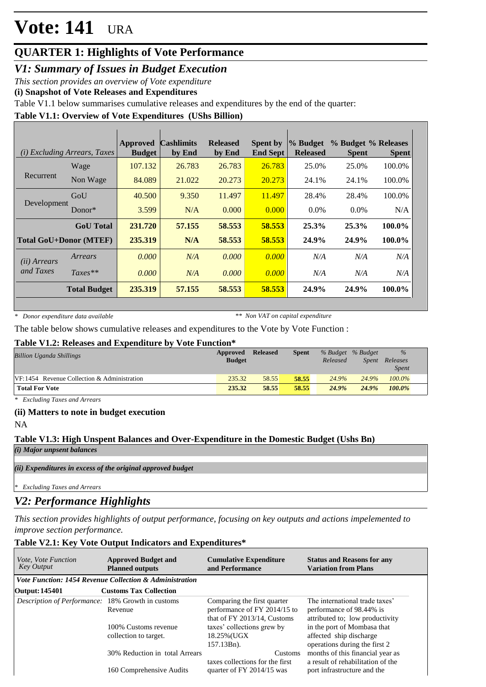### **QUARTER 1: Highlights of Vote Performance**

*V1: Summary of Issues in Budget Execution*

*This section provides an overview of Vote expenditure* 

**(i) Snapshot of Vote Releases and Expenditures**

Table V1.1 below summarises cumulative releases and expenditures by the end of the quarter:

### **Table V1.1: Overview of Vote Expenditures (UShs Billion)**

|                       | (i) Excluding Arrears, Taxes  | <b>Approved</b><br><b>Budget</b> | <b>Cashlimits</b><br>by End | <b>Released</b><br>by End | <b>Spent by</b><br><b>End Sept</b> | $\%$ Budget<br><b>Released</b> | % Budget % Releases<br><b>Spent</b> | <b>Spent</b> |
|-----------------------|-------------------------------|----------------------------------|-----------------------------|---------------------------|------------------------------------|--------------------------------|-------------------------------------|--------------|
|                       | Wage                          | 107.132                          | 26.783                      | 26.783                    | 26.783                             | 25.0%                          | 25.0%                               | 100.0%       |
| Recurrent             | Non Wage                      | 84.089                           | 21.022                      | 20.273                    | 20.273                             | 24.1%                          | 24.1%                               | 100.0%       |
| Development           | GoU                           | 40.500                           | 9.350                       | 11.497                    | 11.497                             | 28.4%                          | 28.4%                               | 100.0%       |
|                       | $Donor*$                      | 3.599                            | N/A                         | 0.000                     | 0.000                              | $0.0\%$                        | $0.0\%$                             | N/A          |
|                       | <b>GoU</b> Total              | 231.720                          | 57.155                      | 58.553                    | 58.553                             | 25.3%                          | 25.3%                               | 100.0%       |
|                       | <b>Total GoU+Donor (MTEF)</b> | 235.319                          | N/A                         | 58.553                    | 58.553                             | 24.9%                          | 24.9%                               | 100.0%       |
| ( <i>ii</i> ) Arrears | Arrears                       | 0.000                            | N/A                         | 0.000                     | 0.000                              | N/A                            | N/A                                 | N/A          |
| and Taxes             | $Taxes**$                     | 0.000                            | N/A                         | 0.000                     | 0.000                              | N/A                            | N/A                                 | N/A          |
|                       | <b>Total Budget</b>           | 235.319                          | 57.155                      | 58.553                    | 58.553                             | 24.9%                          | 24.9%                               | 100.0%       |

*\* Donor expenditure data available*

*\*\* Non VAT on capital expenditure*

The table below shows cumulative releases and expenditures to the Vote by Vote Function :

#### **Table V1.2: Releases and Expenditure by Vote Function\***

| <b>Billion Uganda Shillings</b>             | Approved<br><b>Budget</b> | <b>Released</b> | <b>Spent</b> | % Budget % Budget<br>Released | Spent | $\%$<br>Releases<br><i>Spent</i> |
|---------------------------------------------|---------------------------|-----------------|--------------|-------------------------------|-------|----------------------------------|
| VF:1454 Revenue Collection & Administration | 235.32                    | 58.55           | 58.55        | 24.9%                         | 24.9% | 100.0%                           |
| <b>Total For Vote</b>                       | 235.32                    | 58.55           | 58.55        | 24.9%                         | 24.9% | $100.0\%$                        |

*\* Excluding Taxes and Arrears*

### **(ii) Matters to note in budget execution**

NA

#### **Table V1.3: High Unspent Balances and Over-Expenditure in the Domestic Budget (Ushs Bn)** *(i) Major unpsent balances*

*(ii) Expenditures in excess of the original approved budget*

*\* Excluding Taxes and Arrears*

### *V2: Performance Highlights*

*This section provides highlights of output performance, focusing on key outputs and actions impelemented to improve section performance.*

### **Table V2.1: Key Vote Output Indicators and Expenditures\***

| <i>Vote, Vote Function</i><br><b>Key Output</b>          | <b>Approved Budget and</b><br><b>Cumulative Expenditure</b><br>and Performance<br><b>Planned outputs</b> |                                                                                            | <b>Status and Reasons for any</b><br><b>Variation from Plans</b>                              |
|----------------------------------------------------------|----------------------------------------------------------------------------------------------------------|--------------------------------------------------------------------------------------------|-----------------------------------------------------------------------------------------------|
|                                                          | Vote Function: 1454 Revenue Collection & Administration                                                  |                                                                                            |                                                                                               |
| Output: 145401                                           | <b>Customs Tax Collection</b>                                                                            |                                                                                            |                                                                                               |
| <i>Description of Performance:</i> 18% Growth in customs | Revenue                                                                                                  | Comparing the first quarter<br>performance of FY 2014/15 to<br>that of FY 2013/14, Customs | The international trade taxes'<br>performance of 98.44% is<br>attributed to; low productivity |
|                                                          | 100% Customs revenue<br>collection to target.                                                            | taxes' collections grew by<br>18.25% (UGX)<br>157.13Bn).                                   | in the port of Mombasa that<br>affected ship discharge<br>operations during the first 2       |
|                                                          | 30% Reduction in total Arrears                                                                           | Customs<br>taxes collections for the first                                                 | months of this financial year as<br>a result of rehabilitation of the                         |
|                                                          | 160 Comprehensive Audits                                                                                 | quarter of FY 2014/15 was                                                                  | port infrastructure and the                                                                   |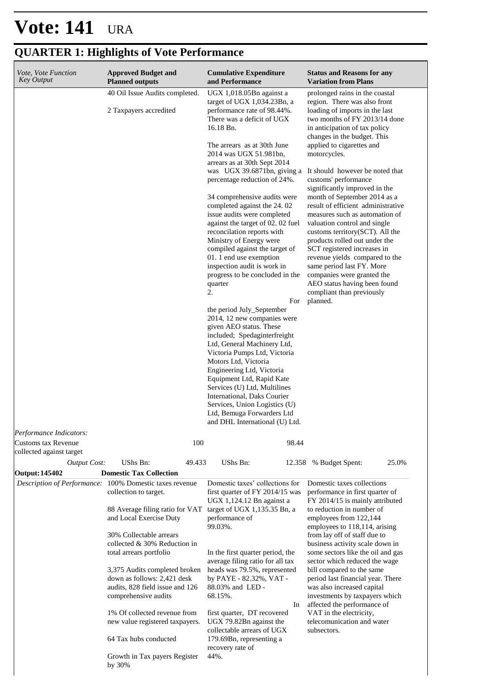| Vote, Vote Function<br><b>Key Output</b>                 | <b>Approved Budget and</b><br><b>Planned outputs</b>                                                                                                                                                                                                                                                                                                                                                                                                        | <b>Cumulative Expenditure</b><br>and Performance                                                                                                                                                                                                                                                                                                                                                                                                                                                                                                                                                                                                                                                                                                                                                                                                                                                                                                                                                                                                                                    | <b>Status and Reasons for any</b><br><b>Variation from Plans</b>                                                                                                                                                                                                                                                                                                                                                                                                                                                                                                                                                                                                                                                                                            |  |  |
|----------------------------------------------------------|-------------------------------------------------------------------------------------------------------------------------------------------------------------------------------------------------------------------------------------------------------------------------------------------------------------------------------------------------------------------------------------------------------------------------------------------------------------|-------------------------------------------------------------------------------------------------------------------------------------------------------------------------------------------------------------------------------------------------------------------------------------------------------------------------------------------------------------------------------------------------------------------------------------------------------------------------------------------------------------------------------------------------------------------------------------------------------------------------------------------------------------------------------------------------------------------------------------------------------------------------------------------------------------------------------------------------------------------------------------------------------------------------------------------------------------------------------------------------------------------------------------------------------------------------------------|-------------------------------------------------------------------------------------------------------------------------------------------------------------------------------------------------------------------------------------------------------------------------------------------------------------------------------------------------------------------------------------------------------------------------------------------------------------------------------------------------------------------------------------------------------------------------------------------------------------------------------------------------------------------------------------------------------------------------------------------------------------|--|--|
| 40 Oil Issue Audits completed.<br>2 Taxpayers accredited |                                                                                                                                                                                                                                                                                                                                                                                                                                                             | UGX 1,018.05Bn against a<br>target of UGX 1,034.23Bn, a<br>performance rate of 98.44%.<br>There was a deficit of UGX<br>16.18 Bn.<br>The arrears as at 30th June<br>2014 was UGX 51.981bn,<br>arrears as at 30th Sept 2014<br>was UGX 39.6871bn, giving a<br>percentage reduction of 24%.<br>34 comprehensive audits were<br>completed against the 24.02<br>issue audits were completed<br>against the target of 02.02 fuel<br>reconcilation reports with<br>Ministry of Energy were<br>compiled against the target of<br>01. 1 end use exemption<br>inspection audit is work in<br>progress to be concluded in the<br>quarter<br>2.<br>For<br>the period July_September<br>2014, 12 new companies were<br>given AEO status. These<br>included; Spedaginterfreight<br>Ltd, General Machinery Ltd,<br>Victoria Pumps Ltd, Victoria<br>Motors Ltd, Victoria<br>Engineering Ltd, Victoria<br>Equipment Ltd, Rapid Kate<br>Services (U) Ltd, Multilines<br>International, Daks Courier<br>Services, Union Logistics (U)<br>Ltd, Bemuga Forwarders Ltd<br>and DHL International (U) Ltd. | prolonged rains in the coastal<br>region. There was also front<br>loading of imports in the last<br>two months of FY 2013/14 done<br>in anticipation of tax policy<br>changes in the budget. This<br>applied to cigarettes and<br>motorcycles.<br>It should however be noted that<br>customs' performance<br>significantly improved in the<br>month of September 2014 as a<br>result of efficient administrative<br>measures such as automation of<br>valuation control and single<br>customs territory(SCT). All the<br>products rolled out under the<br>SCT registered increases in<br>revenue yields compared to the<br>same period last FY. More<br>companies were granted the<br>AEO status having been found<br>compliant than previously<br>planned. |  |  |
| Customs tax Revenue<br>collected against target          | 100                                                                                                                                                                                                                                                                                                                                                                                                                                                         | 98.44                                                                                                                                                                                                                                                                                                                                                                                                                                                                                                                                                                                                                                                                                                                                                                                                                                                                                                                                                                                                                                                                               |                                                                                                                                                                                                                                                                                                                                                                                                                                                                                                                                                                                                                                                                                                                                                             |  |  |
| <b>Output Cost:</b>                                      | UShs Bn:<br>49.433                                                                                                                                                                                                                                                                                                                                                                                                                                          | UShs Bn:<br>12.358                                                                                                                                                                                                                                                                                                                                                                                                                                                                                                                                                                                                                                                                                                                                                                                                                                                                                                                                                                                                                                                                  | 25.0%<br>% Budget Spent:                                                                                                                                                                                                                                                                                                                                                                                                                                                                                                                                                                                                                                                                                                                                    |  |  |
| <b>Output: 145402</b>                                    | <b>Domestic Tax Collection</b>                                                                                                                                                                                                                                                                                                                                                                                                                              |                                                                                                                                                                                                                                                                                                                                                                                                                                                                                                                                                                                                                                                                                                                                                                                                                                                                                                                                                                                                                                                                                     |                                                                                                                                                                                                                                                                                                                                                                                                                                                                                                                                                                                                                                                                                                                                                             |  |  |
|                                                          | Description of Performance: 100% Domestic taxes revenue<br>collection to target.<br>88 Average filing ratio for VAT<br>and Local Exercise Duty<br>30% Collectable arrears<br>collected & 30% Reduction in<br>total arrears portfolio<br>3,375 Audits completed broken<br>down as follows: 2,421 desk<br>audits, 828 field issue and 126<br>comprehensive audits<br>1% Of collected revenue from<br>new value registered taxpayers.<br>64 Tax hubs conducted | Domestic taxes' collections for<br>first quarter of FY 2014/15 was<br>UGX 1,124.12 Bn against a<br>target of UGX 1,135.35 Bn, a<br>performance of<br>99.03%.<br>In the first quarter period, the<br>average filing ratio for all tax<br>heads was 79.5%, represented<br>by PAYE - 82.32%, VAT -<br>88.03% and LED -<br>68.15%.<br>In<br>first quarter, DT recovered<br>UGX 79.82Bn against the<br>collectable arrears of UGX<br>179.69Bn, representing a<br>recovery rate of                                                                                                                                                                                                                                                                                                                                                                                                                                                                                                                                                                                                        | Domestic taxes collections<br>performance in first quarter of<br>FY 2014/15 is mainly attributed<br>to reduction in number of<br>employees from 122,144<br>employees to 118,114, arising<br>from lay off of staff due to<br>business activity scale down in<br>some sectors like the oil and gas<br>sector which reduced the wage<br>bill compared to the same<br>period last financial year. There<br>was also increased capital<br>investments by taxpayers which<br>affected the performance of<br>VAT in the electricity,<br>telecomunication and water<br>subsectors.                                                                                                                                                                                  |  |  |
|                                                          | Growth in Tax payers Register<br>by 30%                                                                                                                                                                                                                                                                                                                                                                                                                     | 44%.                                                                                                                                                                                                                                                                                                                                                                                                                                                                                                                                                                                                                                                                                                                                                                                                                                                                                                                                                                                                                                                                                |                                                                                                                                                                                                                                                                                                                                                                                                                                                                                                                                                                                                                                                                                                                                                             |  |  |

## **QUARTER 1: Highlights of Vote Performance**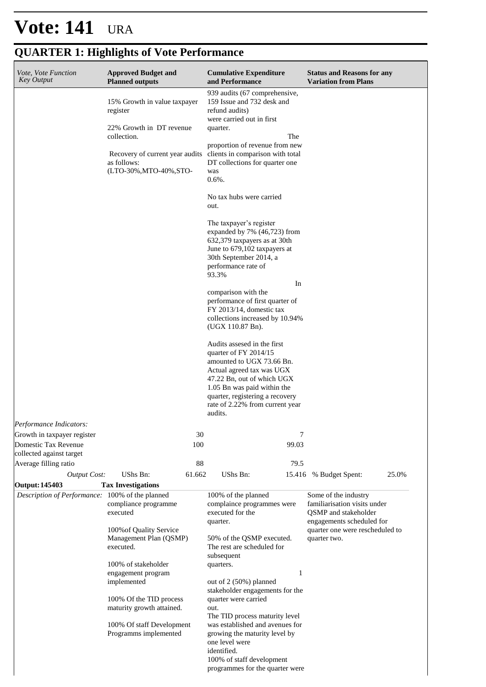#### **Cumulative Expenditure and Performance Approved Budget and Planned outputs Status and Reasons for any Variation from Plans** *Vote, Vote Function Key Output* 15% Growth in value taxpayer register 22% Growth in DT revenue collection. Recovery of current year audits as follows: (LTO-30%,MTO-40%,STO-939 audits (67 comprehensive, 159 Issue and 732 desk and refund audits) were carried out in first quarter. **The Strate Strategies** proportion of revenue from new clients in comparison with total DT collections for quarter one was 0.6%. No tax hubs were carried out. The taxpayer's register expanded by 7% (46,723) from 632,379 taxpayers as at 30th June to 679,102 taxpayers at 30th September 2014, a performance rate of 93.3% **In** comparison with the performance of first quarter of FY 2013/14, domestic tax collections increased by 10.94% (UGX 110.87 Bn). Audits assesed in the first quarter of FY 2014/15 amounted to UGX 73.66 Bn. Actual agreed tax was UGX 47.22 Bn, out of which UGX 1.05 Bn was paid within the quarter, registering a recovery rate of 2.22% from current year audits. *Output Cost:* UShs Bn: 61.662 UShs Bn: 15.416 % Budget Spent: 25.0% *Performance Indicators:* Growth in taxpayer register 30 30 Domestic Tax Revenue collected against target 100 99.03 Average filling ratio and the set of the set of the set of the set of the set of the set of the set of the set of the set of the set of the set of the set of the set of the set of the set of the set of the set of the set o **Output: 145403 Tax Investigations** *Description of Performance:* 100% of the planned compliance programme executed 100%of Quality Service Management Plan (QSMP) executed. 100% of stakeholder engagement program implemented 100% Of the TID process maturity growth attained. 100% Of staff Development Programms implemented 100% of the planned complaince programmes were executed for the quarter. 50% of the QSMP executed. The rest are scheduled for subsequent quarters. 1 out of 2 (50%) planned stakeholder engagements for the quarter were carried out. The TID process maturity level was established and avenues for growing the maturity level by one level were identified. 100% of staff development Some of the industry familiarisation visits under QSMP and stakeholder engagements scheduled for quarter one were rescheduled to quarter two.

programmes for the quarter were

### **QUARTER 1: Highlights of Vote Performance**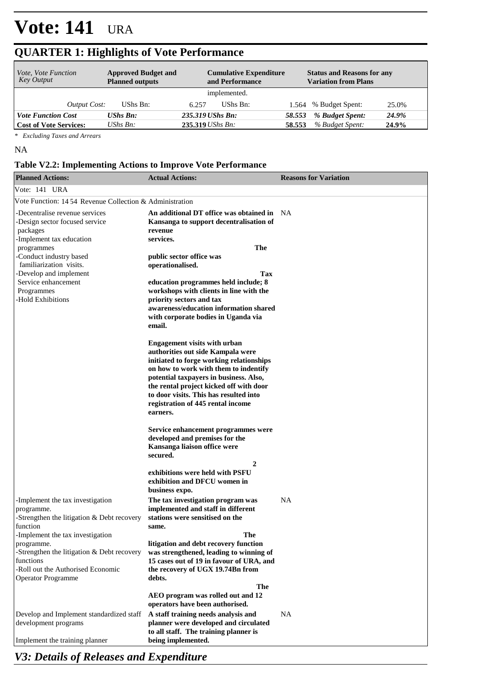### **QUARTER 1: Highlights of Vote Performance**

| <i>Vote, Vote Function</i><br>Key Output | <b>Approved Budget and</b><br><b>Planned outputs</b> | <b>Cumulative Expenditure</b><br>and Performance |                    | <b>Status and Reasons for any</b><br><b>Variation from Plans</b> |                       |       |  |
|------------------------------------------|------------------------------------------------------|--------------------------------------------------|--------------------|------------------------------------------------------------------|-----------------------|-------|--|
|                                          |                                                      |                                                  | implemented.       |                                                                  |                       |       |  |
| <i>Output Cost:</i>                      | UShs Bn:                                             | 6.257                                            | UShs Bn:           |                                                                  | 1.564 % Budget Spent: | 25.0% |  |
| <b>Vote Function Cost</b>                | <b>UShs Bn:</b>                                      |                                                  | 235.319 UShs Bn:   | 58.553                                                           | % Budget Spent:       | 24.9% |  |
| <b>Cost of Vote Services:</b>            | $\mathit{UShs}\, \mathit{Bn}$ :                      |                                                  | $235.319$ UShs Bn: | 58.553                                                           | % Budget Spent:       | 24.9% |  |

*\* Excluding Taxes and Arrears*

NA

#### **Table V2.2: Implementing Actions to Improve Vote Performance**

| <b>Planned Actions:</b>                                                                                                                                                        | <b>Actual Actions:</b>                                                                                                                                                            | <b>Reasons for Variation</b> |
|--------------------------------------------------------------------------------------------------------------------------------------------------------------------------------|-----------------------------------------------------------------------------------------------------------------------------------------------------------------------------------|------------------------------|
| Vote: 141 URA                                                                                                                                                                  |                                                                                                                                                                                   |                              |
| Vote Function: 1454 Revenue Collection & Administration                                                                                                                        |                                                                                                                                                                                   |                              |
| -Decentralise revenue services<br>-Design sector focused service<br>packages<br>-Implement tax education                                                                       | An additional DT office was obtained in<br>Kansanga to support decentralisation of<br>revenue<br>services.                                                                        | - NA                         |
| programmes                                                                                                                                                                     | The                                                                                                                                                                               |                              |
| -Conduct industry based<br>familiarization visits.<br>-Develop and implement<br>Service enhancement<br>Programmes                                                              | public sector office was<br>operationalised.<br>Tax<br>education programmes held include; 8<br>workshops with clients in line with the                                            |                              |
| -Hold Exhibitions                                                                                                                                                              | priority sectors and tax<br>awareness/education information shared<br>with corporate bodies in Uganda via<br>email.                                                               |                              |
|                                                                                                                                                                                | <b>Engagement visits with urban</b><br>authorities out side Kampala were<br>initiated to forge working relationships<br>on how to work with them to indentify                     |                              |
|                                                                                                                                                                                | potential taxpayers in business. Also,<br>the rental project kicked off with door<br>to door visits. This has resulted into<br>registration of 445 rental income<br>earners.      |                              |
|                                                                                                                                                                                | Service enhancement programmes were<br>developed and premises for the<br>Kansanga liaison office were<br>secured.                                                                 |                              |
|                                                                                                                                                                                | 2<br>exhibitions were held with PSFU<br>exhibition and DFCU women in<br>business expo.                                                                                            |                              |
| -Implement the tax investigation<br>programme.<br>-Strengthen the litigation $\&$ Debt recovery<br>function                                                                    | The tax investigation program was<br>implemented and staff in different<br>stations were sensitised on the<br>same.                                                               | <b>NA</b>                    |
| -Implement the tax investigation<br>programme.<br>-Strengthen the litigation $\&$ Debt recovery<br>functions<br>-Roll out the Authorised Economic<br><b>Operator Programme</b> | The<br>litigation and debt recovery function<br>was strengthened, leading to winning of<br>15 cases out of 19 in favour of URA, and<br>the recovery of UGX 19.74Bn from<br>debts. |                              |
|                                                                                                                                                                                | The<br>AEO program was rolled out and 12<br>operators have been authorised.                                                                                                       |                              |
| Develop and Implement standardized staff<br>development programs<br>Implement the training planner                                                                             | A staff training needs analysis and<br>planner were developed and circulated<br>to all staff. The training planner is<br>being implemented.                                       | NA                           |

*V3: Details of Releases and Expenditure*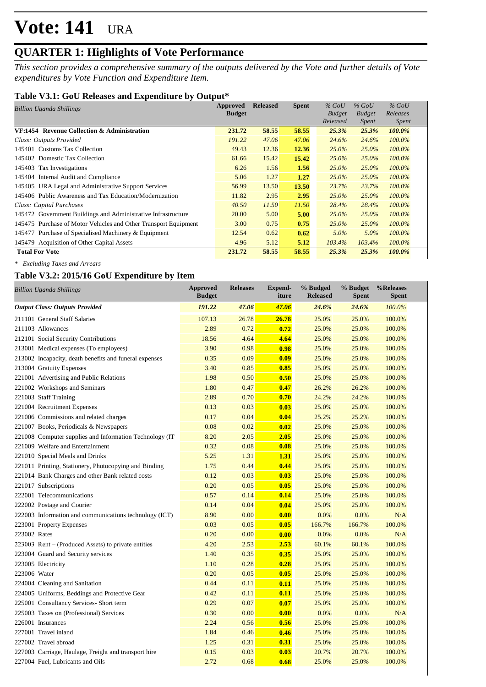### **QUARTER 1: Highlights of Vote Performance**

*This section provides a comprehensive summary of the outputs delivered by the Vote and further details of Vote expenditures by Vote Function and Expenditure Item.*

### **Table V3.1: GoU Releases and Expenditure by Output\***

| Approved<br>Billion Uganda Shillings                            |               | <b>Released</b> | <b>Spent</b> | $%$ GoU       | $\%$ GoU      | $%$ GoU      |  |
|-----------------------------------------------------------------|---------------|-----------------|--------------|---------------|---------------|--------------|--|
|                                                                 | <b>Budget</b> |                 |              | <b>Budget</b> | <b>Budget</b> | Releases     |  |
|                                                                 |               |                 |              | Released      | Spent         | <i>Spent</i> |  |
| VF:1454 Revenue Collection & Administration                     | 231.72        | 58.55           | 58.55        | 25.3%         | 25.3%         | 100.0%       |  |
| Class: Outputs Provided                                         | 191.22        | 47.06           | 47.06        | 24.6%         | 24.6%         | $100.0\%$    |  |
| 145401 Customs Tax Collection                                   | 49.43         | 12.36           | 12.36        | 25.0%         | $25.0\%$      | 100.0%       |  |
| 145402 Domestic Tax Collection                                  | 61.66         | 15.42           | 15.42        | $25.0\%$      | $25.0\%$      | $100.0\%$    |  |
| 145403 Tax Investigations                                       | 6.26          | 1.56            | 1.56         | $25.0\%$      | $25.0\%$      | $100.0\%$    |  |
| 145404 Internal Audit and Compliance                            | 5.06          | 1.27            | 1.27         | $25.0\%$      | $25.0\%$      | $100.0\%$    |  |
| 145405 URA Legal and Administrative Support Services            | 56.99         | 13.50           | <b>13.50</b> | 23.7%         | 23.7%         | $100.0\%$    |  |
| 145406 Public Awareness and Tax Education/Modernization         | 11.82         | 2.95            | 2.95         | $25.0\%$      | $25.0\%$      | $100.0\%$    |  |
| Class: Capital Purchases                                        | 40.50         | 11.50           | 11.50        | 28.4%         | 28.4%         | $100.0\%$    |  |
| 145472 Government Buildings and Administrative Infrastructure   | 20.00         | 5.00            | 5.00         | $25.0\%$      | $25.0\%$      | $100.0\%$    |  |
| 145475 Purchase of Motor Vehicles and Other Transport Equipment | 3.00          | 0.75            | 0.75         | $25.0\%$      | $25.0\%$      | $100.0\%$    |  |
| 145477 Purchase of Specialised Machinery & Equipment            | 12.54         | 0.62            | 0.62         | $5.0\%$       | $5.0\%$       | $100.0\%$    |  |
| 145479 Acquisition of Other Capital Assets                      | 4.96          | 5.12            | 5.12         | $103.4\%$     | 103.4%        | 100.0%       |  |
| <b>Total For Vote</b>                                           | 231.72        | 58.55           | 58.55        | 25.3%         | 25.3%         | 100.0%       |  |

*\* Excluding Taxes and Arrears*

### **Table V3.2: 2015/16 GoU Expenditure by Item**

| <b>Billion Uganda Shillings</b>                          | <b>Approved</b><br><b>Budget</b> | <b>Releases</b> | <b>Expend-</b><br>iture | % Budged<br><b>Released</b> | % Budget<br><b>Spent</b> | %Releases<br><b>Spent</b> |
|----------------------------------------------------------|----------------------------------|-----------------|-------------------------|-----------------------------|--------------------------|---------------------------|
| <b>Output Class: Outputs Provided</b>                    | 191.22                           | 47.06           | 47.06                   | 24.6%                       | 24.6%                    | 100.0%                    |
| 211101 General Staff Salaries                            | 107.13                           | 26.78           | 26.78                   | 25.0%                       | 25.0%                    | 100.0%                    |
| 211103 Allowances                                        | 2.89                             | 0.72            | 0.72                    | 25.0%                       | 25.0%                    | 100.0%                    |
| 212101 Social Security Contributions                     | 18.56                            | 4.64            | 4.64                    | 25.0%                       | 25.0%                    | 100.0%                    |
| 213001 Medical expenses (To employees)                   | 3.90                             | 0.98            | 0.98                    | 25.0%                       | 25.0%                    | 100.0%                    |
| 213002 Incapacity, death benefits and funeral expenses   | 0.35                             | 0.09            | 0.09                    | 25.0%                       | 25.0%                    | 100.0%                    |
| 213004 Gratuity Expenses                                 | 3.40                             | 0.85            | 0.85                    | 25.0%                       | 25.0%                    | 100.0%                    |
| 221001 Advertising and Public Relations                  | 1.98                             | 0.50            | 0.50                    | 25.0%                       | 25.0%                    | 100.0%                    |
| 221002 Workshops and Seminars                            | 1.80                             | 0.47            | 0.47                    | 26.2%                       | 26.2%                    | 100.0%                    |
| 221003 Staff Training                                    | 2.89                             | 0.70            | 0.70                    | 24.2%                       | 24.2%                    | 100.0%                    |
| 221004 Recruitment Expenses                              | 0.13                             | 0.03            | 0.03                    | 25.0%                       | 25.0%                    | 100.0%                    |
| 221006 Commissions and related charges                   | 0.17                             | 0.04            | 0.04                    | 25.2%                       | 25.2%                    | 100.0%                    |
| 221007 Books, Periodicals & Newspapers                   | 0.08                             | 0.02            | 0.02                    | 25.0%                       | 25.0%                    | 100.0%                    |
| 221008 Computer supplies and Information Technology (IT) | 8.20                             | 2.05            | 2.05                    | 25.0%                       | 25.0%                    | 100.0%                    |
| 221009 Welfare and Entertainment                         | 0.32                             | 0.08            | 0.08                    | 25.0%                       | 25.0%                    | 100.0%                    |
| 221010 Special Meals and Drinks                          | 5.25                             | 1.31            | 1.31                    | 25.0%                       | 25.0%                    | 100.0%                    |
| 221011 Printing, Stationery, Photocopying and Binding    | 1.75                             | 0.44            | 0.44                    | 25.0%                       | 25.0%                    | 100.0%                    |
| 221014 Bank Charges and other Bank related costs         | 0.12                             | 0.03            | 0.03                    | 25.0%                       | 25.0%                    | 100.0%                    |
| 221017 Subscriptions                                     | 0.20                             | 0.05            | 0.05                    | 25.0%                       | 25.0%                    | 100.0%                    |
| 222001 Telecommunications                                | 0.57                             | 0.14            | 0.14                    | 25.0%                       | 25.0%                    | 100.0%                    |
| 222002 Postage and Courier                               | 0.14                             | 0.04            | 0.04                    | 25.0%                       | 25.0%                    | 100.0%                    |
| 222003 Information and communications technology (ICT)   | 8.90                             | 0.00            | 0.00                    | 0.0%                        | 0.0%                     | N/A                       |
| 223001 Property Expenses                                 | 0.03                             | 0.05            | 0.05                    | 166.7%                      | 166.7%                   | 100.0%                    |
| 223002 Rates                                             | 0.20                             | 0.00            | 0.00                    | 0.0%                        | 0.0%                     | N/A                       |
| $223003$ Rent – (Produced Assets) to private entities    | 4.20                             | 2.53            | 2.53                    | 60.1%                       | 60.1%                    | 100.0%                    |
| 223004 Guard and Security services                       | 1.40                             | 0.35            | 0.35                    | 25.0%                       | 25.0%                    | 100.0%                    |
| 223005 Electricity                                       | 1.10                             | 0.28            | 0.28                    | 25.0%                       | 25.0%                    | 100.0%                    |
| 223006 Water                                             | 0.20                             | 0.05            | 0.05                    | 25.0%                       | 25.0%                    | 100.0%                    |
| 224004 Cleaning and Sanitation                           | 0.44                             | 0.11            | 0.11                    | 25.0%                       | 25.0%                    | 100.0%                    |
| 224005 Uniforms, Beddings and Protective Gear            | 0.42                             | 0.11            | 0.11                    | 25.0%                       | 25.0%                    | 100.0%                    |
| 225001 Consultancy Services- Short term                  | 0.29                             | 0.07            | 0.07                    | 25.0%                       | 25.0%                    | 100.0%                    |
| 225003 Taxes on (Professional) Services                  | 0.30                             | 0.00            | 0.00                    | 0.0%                        | 0.0%                     | N/A                       |
| 226001 Insurances                                        | 2.24                             | 0.56            | 0.56                    | 25.0%                       | 25.0%                    | 100.0%                    |
| 227001 Travel inland                                     | 1.84                             | 0.46            | 0.46                    | 25.0%                       | 25.0%                    | 100.0%                    |
| 227002 Travel abroad                                     | 1.25                             | 0.31            | 0.31                    | 25.0%                       | 25.0%                    | 100.0%                    |
| 227003 Carriage, Haulage, Freight and transport hire     | 0.15                             | 0.03            | 0.03                    | 20.7%                       | 20.7%                    | 100.0%                    |
| 227004 Fuel, Lubricants and Oils                         | 2.72                             | 0.68            | 0.68                    | 25.0%                       | 25.0%                    | 100.0%                    |